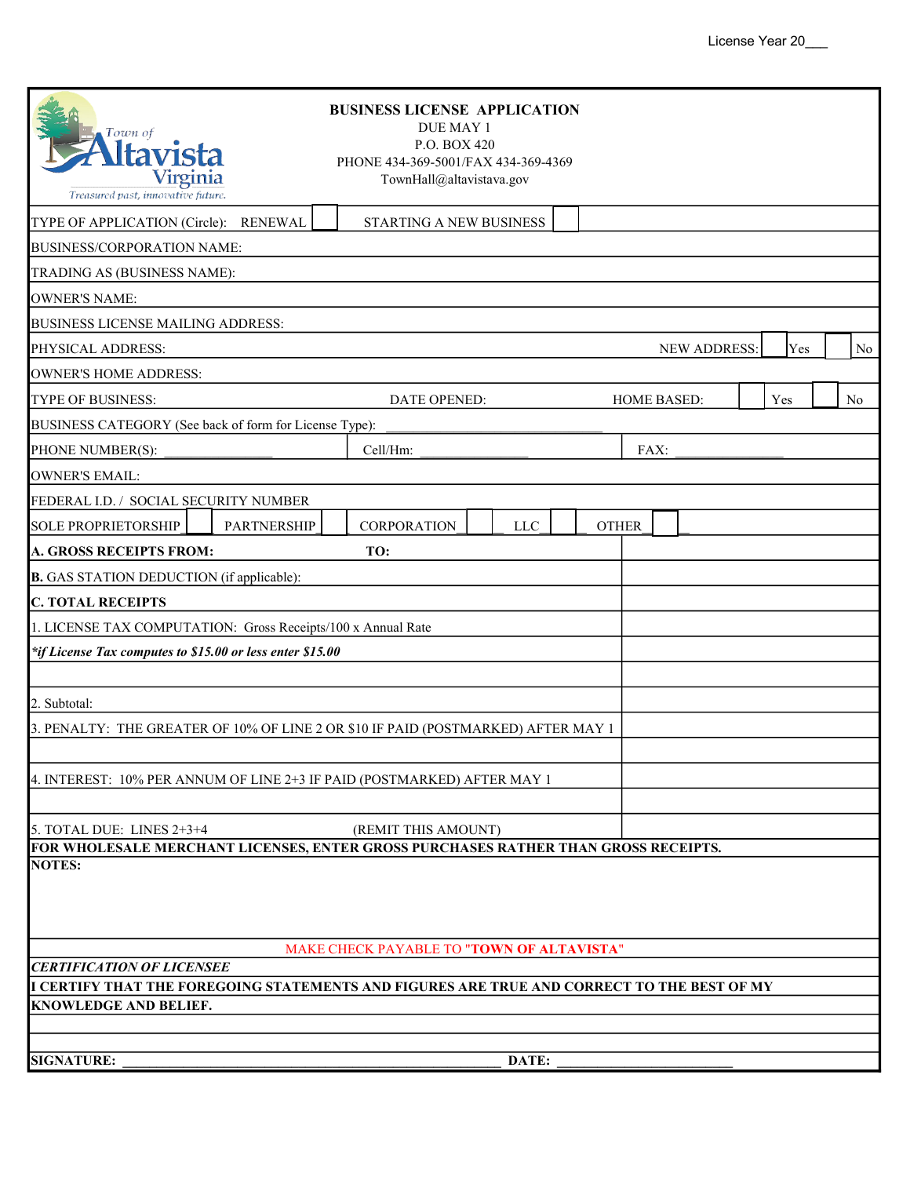| Town of<br>Virginia<br>Treasured past, innovative future.                                                                      |                    | <b>BUSINESS LICENSE APPLICATION</b><br>DUE MAY 1<br>P.O. BOX 420<br>PHONE 434-369-5001/FAX 434-369-4369<br>TownHall@altavistava.gov |  |                    |  |     |    |  |
|--------------------------------------------------------------------------------------------------------------------------------|--------------------|-------------------------------------------------------------------------------------------------------------------------------------|--|--------------------|--|-----|----|--|
| TYPE OF APPLICATION (Circle):                                                                                                  | <b>RENEWAL</b>     | STARTING A NEW BUSINESS                                                                                                             |  |                    |  |     |    |  |
| BUSINESS/CORPORATION NAME:                                                                                                     |                    |                                                                                                                                     |  |                    |  |     |    |  |
| TRADING AS (BUSINESS NAME):                                                                                                    |                    |                                                                                                                                     |  |                    |  |     |    |  |
| <b>OWNER'S NAME:</b>                                                                                                           |                    |                                                                                                                                     |  |                    |  |     |    |  |
| <b>BUSINESS LICENSE MAILING ADDRESS:</b>                                                                                       |                    |                                                                                                                                     |  |                    |  |     |    |  |
| <b>NEW ADDRESS:</b><br>Yes<br>No<br>PHYSICAL ADDRESS:                                                                          |                    |                                                                                                                                     |  |                    |  |     |    |  |
| <b>OWNER'S HOME ADDRESS:</b>                                                                                                   |                    |                                                                                                                                     |  |                    |  |     |    |  |
| TYPE OF BUSINESS:                                                                                                              |                    | DATE OPENED:                                                                                                                        |  | <b>HOME BASED:</b> |  | Yes | No |  |
| BUSINESS CATEGORY (See back of form for License Type):                                                                         |                    |                                                                                                                                     |  |                    |  |     |    |  |
| PHONE NUMBER(S):                                                                                                               |                    | Cell/Hm:                                                                                                                            |  | FAX:               |  |     |    |  |
| <b>OWNER'S EMAIL:</b>                                                                                                          |                    |                                                                                                                                     |  |                    |  |     |    |  |
| FEDERAL I.D. / SOCIAL SECURITY NUMBER                                                                                          |                    |                                                                                                                                     |  |                    |  |     |    |  |
| <b>SOLE PROPRIETORSHIP</b>                                                                                                     | <b>PARTNERSHIP</b> | CORPORATION<br><b>LLC</b>                                                                                                           |  | <b>OTHER</b>       |  |     |    |  |
| <b>A. GROSS RECEIPTS FROM:</b>                                                                                                 |                    | TO:                                                                                                                                 |  |                    |  |     |    |  |
| <b>B.</b> GAS STATION DEDUCTION (if applicable):                                                                               |                    |                                                                                                                                     |  |                    |  |     |    |  |
| <b>C. TOTAL RECEIPTS</b>                                                                                                       |                    |                                                                                                                                     |  |                    |  |     |    |  |
| 1. LICENSE TAX COMPUTATION: Gross Receipts/100 x Annual Rate                                                                   |                    |                                                                                                                                     |  |                    |  |     |    |  |
| *if License Tax computes to \$15.00 or less enter \$15.00                                                                      |                    |                                                                                                                                     |  |                    |  |     |    |  |
|                                                                                                                                |                    |                                                                                                                                     |  |                    |  |     |    |  |
| 2. Subtotal:                                                                                                                   |                    |                                                                                                                                     |  |                    |  |     |    |  |
| 3. PENALTY: THE GREATER OF 10% OF LINE 2 OR \$10 IF PAID (POSTMARKED) AFTER MAY 1                                              |                    |                                                                                                                                     |  |                    |  |     |    |  |
|                                                                                                                                |                    |                                                                                                                                     |  |                    |  |     |    |  |
| 4. INTEREST: 10% PER ANNUM OF LINE 2+3 IF PAID (POSTMARKED) AFTER MAY 1                                                        |                    |                                                                                                                                     |  |                    |  |     |    |  |
|                                                                                                                                |                    |                                                                                                                                     |  |                    |  |     |    |  |
| 5. TOTAL DUE: LINES 2+3+4                                                                                                      |                    | (REMIT THIS AMOUNT)                                                                                                                 |  |                    |  |     |    |  |
|                                                                                                                                |                    | FOR WHOLESALE MERCHANT LICENSES, ENTER GROSS PURCHASES RATHER THAN GROSS RECEIPTS.                                                  |  |                    |  |     |    |  |
| <b>NOTES:</b>                                                                                                                  |                    |                                                                                                                                     |  |                    |  |     |    |  |
|                                                                                                                                |                    |                                                                                                                                     |  |                    |  |     |    |  |
|                                                                                                                                |                    |                                                                                                                                     |  |                    |  |     |    |  |
| MAKE CHECK PAYABLE TO "TOWN OF ALTAVISTA"                                                                                      |                    |                                                                                                                                     |  |                    |  |     |    |  |
| <b>CERTIFICATION OF LICENSEE</b><br>I CERTIFY THAT THE FOREGOING STATEMENTS AND FIGURES ARE TRUE AND CORRECT TO THE BEST OF MY |                    |                                                                                                                                     |  |                    |  |     |    |  |
| KNOWLEDGE AND BELIEF.                                                                                                          |                    |                                                                                                                                     |  |                    |  |     |    |  |
|                                                                                                                                |                    |                                                                                                                                     |  |                    |  |     |    |  |
| <b>SIGNATURE:</b><br>DATE:                                                                                                     |                    |                                                                                                                                     |  |                    |  |     |    |  |
|                                                                                                                                |                    |                                                                                                                                     |  |                    |  |     |    |  |